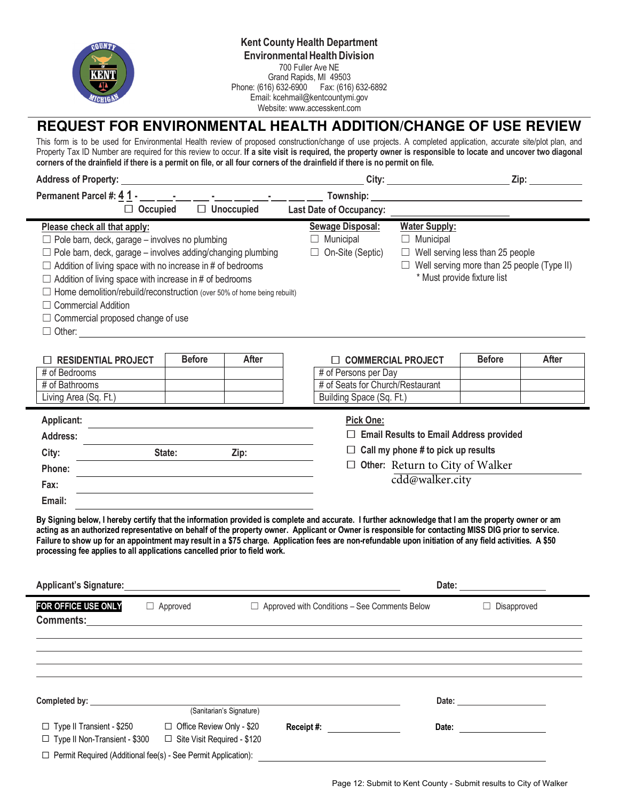

**Kent County Health Department Environmental Health Division**  700 Fuller Ave NE Grand Rapids, MI 49503 Phone: (616) 632-6900 Fax: (616) 632-6892 Email: kcehmail@kentcountymi.gov Website: www.accesskent.com

## **REQUEST FOR ENVIRONMENTAL HEALTH ADDITION/CHANGE OF USE REVIEW**

This form is to be used for Environmental Health review of proposed construction/change of use projects. A completed application, accurate site/plot plan, and Property Tax ID Number are required for this review to occur. If a site visit is required, the property owner is responsible to locate and uncover two diagonal **corners of the drainfield if there is a permit on file, or all four corners of the drainfield if there is no permit on file.** 

|                                                                                                                                                                                                                                                                                                                                                                                                                                                                                                                                                                                                                                |                               |                                   |                                                                        |                                                                                                                                                                         |                                                                                                                                                                                                                                | Zip:         |  |  |  |
|--------------------------------------------------------------------------------------------------------------------------------------------------------------------------------------------------------------------------------------------------------------------------------------------------------------------------------------------------------------------------------------------------------------------------------------------------------------------------------------------------------------------------------------------------------------------------------------------------------------------------------|-------------------------------|-----------------------------------|------------------------------------------------------------------------|-------------------------------------------------------------------------------------------------------------------------------------------------------------------------|--------------------------------------------------------------------------------------------------------------------------------------------------------------------------------------------------------------------------------|--------------|--|--|--|
|                                                                                                                                                                                                                                                                                                                                                                                                                                                                                                                                                                                                                                |                               |                                   |                                                                        |                                                                                                                                                                         |                                                                                                                                                                                                                                |              |  |  |  |
|                                                                                                                                                                                                                                                                                                                                                                                                                                                                                                                                                                                                                                |                               | $\Box$ Occupied $\Box$ Unoccupied | <b>Last Date of Occupancy:</b>                                         |                                                                                                                                                                         |                                                                                                                                                                                                                                |              |  |  |  |
| Please check all that apply:<br>□ Pole barn, deck, garage - involves no plumbing<br>$\Box$ Pole barn, deck, garage – involves adding/changing plumbing<br>$\Box$ Addition of living space with no increase in # of bedrooms<br>$\Box$ Addition of living space with increase in # of bedrooms<br>$\Box$ Home demolition/rebuild/reconstruction (over 50% of home being rebuilt)<br>$\Box$ Commercial Addition<br>$\Box$ Commercial proposed change of use<br>$\Box$ Other:                                                                                                                                                     |                               |                                   | <b>Sewage Disposal:</b><br>$\Box$ Municipal<br>$\Box$ On-Site (Septic) | <b>Water Supply:</b><br>$\Box$ Municipal<br>$\Box$ Well serving less than 25 people<br>$\Box$ Well serving more than 25 people (Type II)<br>* Must provide fixture list |                                                                                                                                                                                                                                |              |  |  |  |
| $\Box$ RESIDENTIAL PROJECT                                                                                                                                                                                                                                                                                                                                                                                                                                                                                                                                                                                                     | <b>Before</b>                 | After                             | <b>COMMERCIAL PROJECT</b>                                              |                                                                                                                                                                         | <b>Before</b>                                                                                                                                                                                                                  | <b>After</b> |  |  |  |
| # of Bedrooms                                                                                                                                                                                                                                                                                                                                                                                                                                                                                                                                                                                                                  |                               |                                   | # of Persons per Day                                                   |                                                                                                                                                                         |                                                                                                                                                                                                                                |              |  |  |  |
| # of Bathrooms                                                                                                                                                                                                                                                                                                                                                                                                                                                                                                                                                                                                                 |                               |                                   | # of Seats for Church/Restaurant                                       |                                                                                                                                                                         |                                                                                                                                                                                                                                |              |  |  |  |
| Living Area (Sq. Ft.)                                                                                                                                                                                                                                                                                                                                                                                                                                                                                                                                                                                                          |                               |                                   | Building Space (Sq. Ft.)                                               |                                                                                                                                                                         |                                                                                                                                                                                                                                |              |  |  |  |
| <b>Applicant:</b><br><b>Address:</b><br>City:<br>Phone:<br>Fax:<br>Email:<br>By Signing below, I hereby certify that the information provided is complete and accurate. I further acknowledge that I am the property owner or am<br>acting as an authorized representative on behalf of the property owner. Applicant or Owner is responsible for contacting MISS DIG prior to service.<br>Failure to show up for an appointment may result in a \$75 charge. Application fees are non-refundable upon initiation of any field activities. A \$50<br>processing fee applies to all applications cancelled prior to field work. | State:                        | Zip:                              | <b>Pick One:</b>                                                       | $\Box$ Email Results to Email Address provided<br>$\Box$ Call my phone # to pick up results<br>$\Box$ Other: Return to City of Walker<br>cdd@walker.city                |                                                                                                                                                                                                                                |              |  |  |  |
| <b>Applicant's Signature:</b>                                                                                                                                                                                                                                                                                                                                                                                                                                                                                                                                                                                                  |                               |                                   | Date:                                                                  |                                                                                                                                                                         |                                                                                                                                                                                                                                |              |  |  |  |
| FOR OFFICE USE ONLY<br><b>Comments:</b>                                                                                                                                                                                                                                                                                                                                                                                                                                                                                                                                                                                        | $\Box$ Approved               |                                   | $\Box$ Approved with Conditions – See Comments Below                   |                                                                                                                                                                         | $\Box$ Disapproved                                                                                                                                                                                                             |              |  |  |  |
| Completed by:<br>□ Type II Transient - \$250                                                                                                                                                                                                                                                                                                                                                                                                                                                                                                                                                                                   | □ Office Review Only - \$20   | (Sanitarian's Signature)          | Receipt #:                                                             | Date:                                                                                                                                                                   | Date: the contract of the contract of the contract of the contract of the contract of the contract of the contract of the contract of the contract of the contract of the contract of the contract of the contract of the cont |              |  |  |  |
| □ Type II Non-Transient - \$300                                                                                                                                                                                                                                                                                                                                                                                                                                                                                                                                                                                                | □ Site Visit Required - \$120 |                                   |                                                                        |                                                                                                                                                                         |                                                                                                                                                                                                                                |              |  |  |  |

☐ Permit Required (Additional fee(s) - See Permit Application):